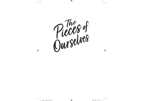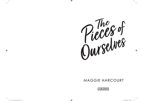

## **MAGGIE HARCOURT**

**USBORNE**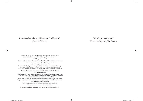### For my mother, who would have said "I told you so".

(And yes. She did.)

"What's past is prologue." William Shakespeare, *The Tempest*

First published in the UK in 2020 by Usborne Publishing Ltd., Usborne House, 83-85 Saffron Hill, London EC1N 8RT, England. www.usborne.com

Text © Maggie Harcourt 2020

The right of Maggie Harcourt to be identified as the author of this work has been asserted by her in accordance with the Copyright, Designs and Patents Act, 1988.

Author photograph © Lou Abercrombie

Close up surface floating water with ripples © MP\_Foto/Shutterstock; Lonely girl sitting in front of lake © Sirle Kabanen/Shutterstock; Green sea water in calm © Joe Besure/ Shutterstock; Autumn Tree Reflecting in Ripple in Creek © Michael Warwick/Shutterstock

The name Usborne and the devices  $\mathcal{L}(\mathbf{W})$  USBORNE are Trade Marks of Usborne Publishing Ltd.

All rights reserved. No part of this publication may be reproduced, stored in a retrieval system or transmitted in any form or by any means, electronic, mechanical, photocopying, recording or otherwise without the prior permission of the publisher.

This is a work of fiction. The characters, incidents, and dialogues are products of the author's imagination and are not to be construed as real. Any resemblance to actual events or persons, living or dead, is entirely coincidental.

A CIP catalogue record for this book is available from the British Library.

ISBN 9781474940696 04702/1 FMAMJJASOND/20

Printed and bound in Great Britain by CPI Group (UK) Ltd, Croydon, CR0 4YY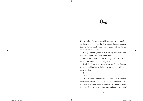# One

I have picked the worst possible moment to be standing on the pavement outside the village shop: the *exact* moment the bus to the sixth-form college goes past on its last morning run of the term.

If only I hadn't agreed to pick up my brother's parcel from the post office counter before work.

If only Mr Parkins and his stupid package to Australia hadn't been ahead of me in the queue.

If only I hadn't told my friend Mira that I'd meet her and we could walk back up to the hotel to start our housekeeping shifts together.

#### If.

### Only.

But here I am, and here's the bus, and as it stops to let Mr Parkins cross the road with agonizing slowness, every single face behind the bus windows turns to look at me – and I am fixed to the spot as firmly and definitively as if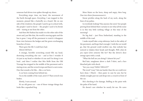someone had driven iron spikes through my shoes.

Everything stops: time, my heart, the movement of the Earth through space. *Everything*. I am trapped in this moment, pinned like a butterfly on a board. Me on one side of the windows; the people I used to go to school with, the people I used to know – the people I *used to be friends with* – staring at me from the other.

And then Mr Parkins has made it to the other side of the street and, just like that, the world is moving again and the bus is gone. I step off the pavement to watch it disappear from view between the hedges and the green overhanging branches of trees.

There goes the life I could have had.

Almost did have.

A strange, horrible screeching sound fills my head, drowning everything else out – and at first I wonder if it's just in my head or whether it's me and I'm doing it out loud…and then I realize that Mrs Rolfe from the Old Vicarage has stopped in the middle of the pavement and is staring at me, and the screech stops and there's a new noise. One that sounds a bit like…like a car horn.

A car horn coming from behind me.

I'm in the middle of the road, aren't I? That screech was brakes.

Slowly, I turn around.

It's an old green car – one of those vintage things that looks like a squashed frog.

More blasts on the horn, sharp and angry, then long. One-two-three-*fooooooouuuurrrr*.

Sweat prickles along the back of my neck, along the lines of my palms.

Is everybody looking? Has anyone else seen? Are people peering from behind their curtains to see what all the noise is in this tiny little nothing village at this time of the morning?

No big deal – just Flora Sutherland, standing in the middle of the road.

I make myself take a step sideways, back to the safety of the pavement, and hope that's enough. I wish the car would go, that the ground could swallow me, that nobody has noticed or shaken their heads and thought, *Well, what do you expect from someone like her?* But the driver's door swings open with a creak.

"What the hell are you doing? I almost hit you!"

Red hair, sunglasses above a dark T-shirt, and a face bleached pale with shock.

"Are you *crazy*? Hello? HELLO?!"

The word "crazy" hits me harder than the car could ever have done. I flinch – then panic in case he saw, but he whisks straight past me and drops into a crouch in front of the car.

He's checking it for damage. Buffing at the paint with the palm of his hand.

He doesn't care whether he nearly hit me. He cares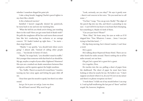whether I somehow dinged his paint job.

I take a deep breath, hugging Charlie's parcel tighter to my chest like a shield.

*Is this a balanced reaction?*

Satisfied I haven't magically dented his paintwork, he turns back to me and sees me watching him.

"What the hell do you think you're doing, just standing there in the road? Have you got some kind of death wish?" He pulls the sunglasses off his face and waves them around him like he's conducting the orchestra at an outrage concert. "If I hadn't looked up right then…" he starts – then stops himself.

 "Maybe," I say quietly, "you should look where you're going." I almost add, "Instead of calling other people crazy…" but decide it's better if I don't.

"Maybe," he snaps back, "you shouldn't stand in traffic." He's younger than someone with that kind of car should be. My age, maybe a couple of years older. Eighteen? Nineteen? His eyes are a washed-out shade somewhere between blue and green, and he squints against the bright sunshine.

"Yes. Traffic. There's so much of it round here," I mutter, turning my face away again and letting his gaze slide off me.

I hear him open his mouth to speak, but there's no other sound.

*Just go. Get in your car and go. Leave me alone.* He still hasn't moved. Why won't he go?

"Look, seriously, are you okay?" He says it gently now – there's real concern in his voice. "Do you need me to call some—"

"I'm fine," I snap. "You can go now. Really." The edges of the parcel dig into my ribs, and there's a pounding in my ears – I can't tell if it's my heart or my brain that's thumping, but something is. Maybe it's both of them.

"Can you just leave? Please?"

"Wow. Okay." He leans away, his eyes as wide as if I'd slapped him. "Fine. Whatever. I mean… Jesus. I was just trying to find this hotel…"

His lips keep moving, but it doesn't matter; I can't hear a word.

He's a *guest*.

He's talking about Hopwood Home Hotel. There are no other hotels for miles around. There's *nothing else at all* for miles around, not out here.

Oh god, he's a guest he's a guest he's a guest.

*Get it together, Flora.*

He reaches into the car, pulling a sheet of paper from the dashboard. The sheet of paper he must have been looking at when he nearly hit me. He holds it out. "I don't suppose you know where it is, do you? It's not on my satnav and there's *no* phone reception out here."

"I work there." It falls out of my mouth before I can stop it. I end up half-swallowing the last part of "there" and feel stupid. He, however, brightens.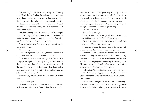"Oh, amazing. I'm so lost. Totally, totally lost." Running a hand back through his hair, he looks around – as though to say that the only reason he'd be anywhere near a village like Hopwood-in-the-Hollows is to pass through it on the way to somewhere else. With that kind of car, and dressed the way he is – carefully, neatly, probably expensively – it seems about right.

And if he's staying at the Hopwood, and I've been stupid enough to let slip that I work there, the last thing I need is him complaining about the super-unhelpful staff member standing in the road on his way to check in.

*Get it together, Flora. The sooner he gets directions, the sooner he'll be gone.*

"You're going the wrong way."

"I am?" He squints along the road, the same way the bus went, then turns around to look behind him. "But…"

"You need to turn around then go back through the village, past the pub and take a right. Go past the farm with the ice-cream sign shaped like a cow, then keep going until the road gets narrow and forks off to the left. Take the left fork, and there'll be a metal gate with a gatehouse and an intercom. That's the hotel."

There's a long silence, then: "So that was a left at the farm?"

"Do you have a pen?"

He hands me the paper, and reaches back into the car to pull out a biro with a chewed end. I slide the parcel under one arm, and sketch out a quick map. It's not good, and I realize it was a mistake to try and make the cow-shaped sign actually cow-shaped so I label it "cow", but at least it should get him to the Hopwood. And away from me.

I pass the paper back and he takes it, nodding. "Thanks," he says – and hesitates. "You sure you're okay?"

Am I sure I'm okay?

Ask me that a year ago.

"Fine. Thanks." I slide the parcel back around to my chest and look down at the floor. "Please just go?"

The almost-smile on his face disappears behind a frown. "No problem. Thanks for…whatever."

I wince as he slams his door, starting the engine with a loud roar…and just like that, he's driving away.

And there – coming up the street with perfect timing – is Mira, rounding the corner from her house with her bag over her shoulder, sunglasses pulled down over her eyes and her housekeeping uniform looking like she slept in it. She raises her head and smiles when she sees me, stuffing the envelope she's carrying into her pocket.

"What's that?" She nods at the package in my arms.

"Charlie's anniversary present for Felix. He asked me to pick it up for him." And on every level possible, I wish I'd said I couldn't.

Mira makes a thoughtful noise as – tyres screeching – the green car goes past the other way, vanishing around the corner behind the village primary school with its row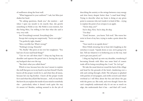of sunflowers along the front wall.

"What happened to your uniform?" I ask, but Mira just shakes her head.

"No asking questions, thank you," she mutters – and when I open my mouth to do exactly that, she growls something in Polish at me. My Polish is non-existent, but this being Mira, I'm willing to bet that what she said is very, very rude.

See? Everything's normal. Everything's *fine*.

Except she's eyeing me suspiciously. "You're not right."

"I'm perfectly right, thanks."

"Also a terrible liar. What's wrong?"

"Nothing's wrong. Honestly."

"No. Really." She peers at me over her sunglasses. "You had one of your mad head things?"

"Can we not call them that?" I drop my bag from my shoulder and squeeze the parcel into it, forcing the zip of my backpack shut over the top.

"But that's what you called them!"

Which is true, because how else was I meant to explain the stuff that goes on in my head to my best friend? Charlie knows all the proper words for it, and what they all mean, because he's my big brother. I know all the proper words for it and what they all *feel* like because…well, it's my head. But how do you explain the inside of your mind to somebody else – particularly when it doesn't work quite the way it's meant to? Besides, nothing seemed to do the job of describing the anxiety or the swings between crazy energy and slow heavy despair better than "a mad head thing". Trying to describe what my brain is doing at any given point to someone who isn't inside it is kind of like…trying to explain the point of an octopus to an apple.

"You're okay, yes?"

*You're okay, Flora. You're okay. Be okay.*

"I'm okay."

"Good, because…you know. Tick tock." She waves her wrist in front of my face, trying to make a point about the time.

"Your watch is on upside down."

More Polish swearing, but at least she's laughing as she switches it round. "Upside down or not, we're going to be late. Tell me whatever it is bothering you on the way. And you've got your parcel, so?"

I sling my bag back up onto my shoulder, wondering if becoming friends with Mira was some kind of cosmic trade-off for losing everything else. I nod. "So. Let's go."

We take the usual shortcut round the back of the village and head for the grounds of the hotel, clambering over a stile and cutting through a field. The tall grass is splashed with patches of red poppies, and swifts screech and wheel overhead as I tell Mira about the bus and about the guy with the green car. She nods, and even though I know she can't completely understand *why* it's set me so much on edge, she understands that it has – and that's all I need.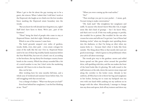When I get to the bit about the guy turning out to be a guest, she winces. When I admit that I told him I work at the Hopwood, she laughs as we climb over the low wooden fence marking the Hopwood estate boundary into the woods.

"But you know he will already have forgotten you, right? Staff don't have faces to them. We're just…part of the furniture."

"Them" being the kind of people who come to stay at Hopwood Home. And she's right. Nobody notices us.

Which is one of the reasons I came here.

The hotel grounds unspool over miles of gardens, woods, fields, river, deer park – even estate cottages for some of the staff, like the one I live in. Hopwood Home used to be one of those big wealthy family mansions before the First World War, but now it's a hotel: one of, according to the brochure, the top thirty-five boutique country house hotels in the country. Which has always sounded like a bit of a weird number to me, but I don't write the marketing material. All I have to do is clean the rooms.

Also, not be late.

After working here for nine months full-time, and a whole year of weekend and summer hours before that, I'm still struggling with that second one.

I try a change of subject. "What was that post you had?" Even from behind her sunglasses, I can feel her blinking at me. "Post?"

"When you were coming up the road earlier."

"No?"

"That envelope you put in your pocket – I mean, god, I'm just trying to make conversation."

"Oh. Junk mail." She straightens her sunglasses and sniffs. To anyone who doesn't know Mira like I do, it might seem like she's kind of grumpy – but I do know Mira, and that's not it at all. If she was really grumpy or prickly, she wouldn't be so patient. She wouldn't be the one who crosses her arms and tells me I've got into "one of those bad thinking circles" when my thoughts start spiralling down into the darkness, or that I'm being an idiot when my mania kicks in – because that's what it looks like from outside. The thing about Mira is that mostly she's just not good at mornings – which I guess is a bit problematic when your job is all about mornings.

The woods give way to the gardens: mown and rolled lawns spread out like green velvet around the gravelled drive, still sparkling with dew, and the sun makes the front of the hotel looks like it's glowing. We walk round to the staff entrance at the side, down the narrow stone steps and along the corridor to the locker room. Already in her uniform, all Mira has to do is throw her bag and sunglasses in her locker, leaving me to cram my backpack into my own with one hand while yanking out my uniform on its hanger with the other. Miraculously, I manage to change into my dress and apron, kick off my trainers and shove my